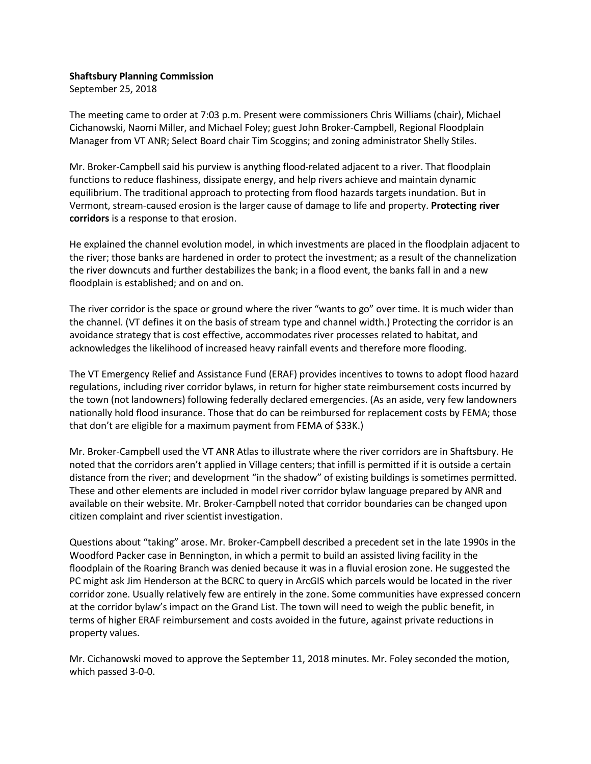## Shaftsbury Planning Commission

September 25, 2018

The meeting came to order at 7:03 p.m. Present were commissioners Chris Williams (chair), Michael Cichanowski, Naomi Miller, and Michael Foley; guest John Broker-Campbell, Regional Floodplain Manager from VT ANR; Select Board chair Tim Scoggins; and zoning administrator Shelly Stiles.

Mr. Broker-Campbell said his purview is anything flood-related adjacent to a river. That floodplain functions to reduce flashiness, dissipate energy, and help rivers achieve and maintain dynamic equilibrium. The traditional approach to protecting from flood hazards targets inundation. But in Vermont, stream-caused erosion is the larger cause of damage to life and property. Protecting river corridors is a response to that erosion.

He explained the channel evolution model, in which investments are placed in the floodplain adjacent to the river; those banks are hardened in order to protect the investment; as a result of the channelization the river downcuts and further destabilizes the bank; in a flood event, the banks fall in and a new floodplain is established; and on and on.

The river corridor is the space or ground where the river "wants to go" over time. It is much wider than the channel. (VT defines it on the basis of stream type and channel width.) Protecting the corridor is an avoidance strategy that is cost effective, accommodates river processes related to habitat, and acknowledges the likelihood of increased heavy rainfall events and therefore more flooding.

The VT Emergency Relief and Assistance Fund (ERAF) provides incentives to towns to adopt flood hazard regulations, including river corridor bylaws, in return for higher state reimbursement costs incurred by the town (not landowners) following federally declared emergencies. (As an aside, very few landowners nationally hold flood insurance. Those that do can be reimbursed for replacement costs by FEMA; those that don't are eligible for a maximum payment from FEMA of \$33K.)

Mr. Broker-Campbell used the VT ANR Atlas to illustrate where the river corridors are in Shaftsbury. He noted that the corridors aren't applied in Village centers; that infill is permitted if it is outside a certain distance from the river; and development "in the shadow" of existing buildings is sometimes permitted. These and other elements are included in model river corridor bylaw language prepared by ANR and available on their website. Mr. Broker-Campbell noted that corridor boundaries can be changed upon citizen complaint and river scientist investigation.

Questions about "taking" arose. Mr. Broker-Campbell described a precedent set in the late 1990s in the Woodford Packer case in Bennington, in which a permit to build an assisted living facility in the floodplain of the Roaring Branch was denied because it was in a fluvial erosion zone. He suggested the PC might ask Jim Henderson at the BCRC to query in ArcGIS which parcels would be located in the river corridor zone. Usually relatively few are entirely in the zone. Some communities have expressed concern at the corridor bylaw's impact on the Grand List. The town will need to weigh the public benefit, in terms of higher ERAF reimbursement and costs avoided in the future, against private reductions in property values.

Mr. Cichanowski moved to approve the September 11, 2018 minutes. Mr. Foley seconded the motion, which passed 3-0-0.